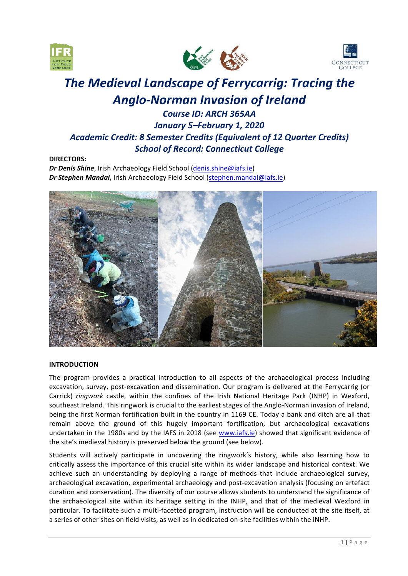





# **The Medieval Landscape of Ferrycarrig: Tracing the** *Anglo-Norman Invasion of Ireland*

# *Course ID: ARCH 365AA January 5–February 1, 2020 Academic Credit: 8 Semester Credits (Equivalent of 12 Quarter Credits) School of Record: Connecticut College*

# **DIRECTORS:**

**Dr Denis Shine**, Irish Archaeology Field School (denis.shine@iafs.ie) **Dr Stephen Mandal,** Irish Archaeology Field School (stephen.mandal@iafs.ie)



# **INTRODUCTION**

The program provides a practical introduction to all aspects of the archaeological process including excavation, survey, post-excavation and dissemination. Our program is delivered at the Ferrycarrig (or Carrick) *ringwork* castle, within the confines of the Irish National Heritage Park (INHP) in Wexford, southeast Ireland. This ringwork is crucial to the earliest stages of the Anglo-Norman invasion of Ireland, being the first Norman fortification built in the country in 1169 CE. Today a bank and ditch are all that remain above the ground of this hugely important fortification, but archaeological excavations undertaken in the 1980s and by the IAFS in 2018 (see www.iafs.ie) showed that significant evidence of the site's medieval history is preserved below the ground (see below).

Students will actively participate in uncovering the ringwork's history, while also learning how to critically assess the importance of this crucial site within its wider landscape and historical context. We achieve such an understanding by deploying a range of methods that include archaeological survey, archaeological excavation, experimental archaeology and post-excavation analysis (focusing on artefact curation and conservation). The diversity of our course allows students to understand the significance of the archaeological site within its heritage setting in the INHP, and that of the medieval Wexford in particular. To facilitate such a multi-facetted program, instruction will be conducted at the site itself, at a series of other sites on field visits, as well as in dedicated on-site facilities within the INHP.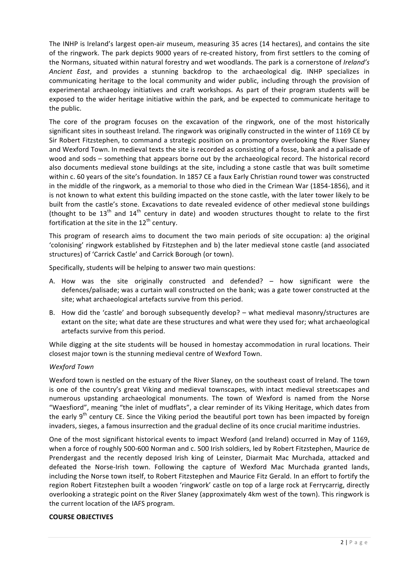The INHP is Ireland's largest open-air museum, measuring 35 acres (14 hectares), and contains the site of the ringwork. The park depicts 9000 years of re-created history, from first settlers to the coming of the Normans, situated within natural forestry and wet woodlands. The park is a cornerstone of *Ireland's* Ancient East, and provides a stunning backdrop to the archaeological dig. INHP specializes in communicating heritage to the local community and wider public, including through the provision of experimental archaeology initiatives and craft workshops. As part of their program students will be exposed to the wider heritage initiative within the park, and be expected to communicate heritage to the public.

The core of the program focuses on the excavation of the ringwork, one of the most historically significant sites in southeast Ireland. The ringwork was originally constructed in the winter of 1169 CE by Sir Robert Fitzstephen, to command a strategic position on a promontory overlooking the River Slaney and Wexford Town. In medieval texts the site is recorded as consisting of a fosse, bank and a palisade of wood and sods – something that appears borne out by the archaeological record. The historical record also documents medieval stone buildings at the site, including a stone castle that was built sometime within c. 60 years of the site's foundation. In 1857 CE a faux Early Christian round tower was constructed in the middle of the ringwork, as a memorial to those who died in the Crimean War (1854-1856), and it is not known to what extent this building impacted on the stone castle, with the later tower likely to be built from the castle's stone. Excavations to date revealed evidence of other medieval stone buildings (thought to be  $13<sup>th</sup>$  and  $14<sup>th</sup>$  century in date) and wooden structures thought to relate to the first fortification at the site in the  $12<sup>th</sup>$  century.

This program of research aims to document the two main periods of site occupation: a) the original 'colonising' ringwork established by Fitzstephen and b) the later medieval stone castle (and associated structures) of 'Carrick Castle' and Carrick Borough (or town).

Specifically, students will be helping to answer two main questions:

- A. How was the site originally constructed and defended?  $-$  how significant were the defences/palisade; was a curtain wall constructed on the bank; was a gate tower constructed at the site; what archaeological artefacts survive from this period.
- B. How did the 'castle' and borough subsequently develop? what medieval masonry/structures are extant on the site; what date are these structures and what were they used for; what archaeological artefacts survive from this period.

While digging at the site students will be housed in homestay accommodation in rural locations. Their closest major town is the stunning medieval centre of Wexford Town.

# *Wexford Town*

Wexford town is nestled on the estuary of the River Slaney, on the southeast coast of Ireland. The town is one of the country's great Viking and medieval townscapes, with intact medieval streetscapes and numerous upstanding archaeological monuments. The town of Wexford is named from the Norse "Waesfiord", meaning "the inlet of mudflats", a clear reminder of its Viking Heritage, which dates from the early  $9<sup>th</sup>$  century CE. Since the Viking period the beautiful port town has been impacted by foreign invaders, sieges, a famous insurrection and the gradual decline of its once crucial maritime industries.

One of the most significant historical events to impact Wexford (and Ireland) occurred in May of 1169, when a force of roughly 500-600 Norman and c. 500 Irish soldiers, led by Robert Fitzstephen, Maurice de Prendergast and the recently deposed Irish king of Leinster, Diarmait Mac Murchada, attacked and defeated the Norse-Irish town. Following the capture of Wexford Mac Murchada granted lands, including the Norse town itself, to Robert Fitzstephen and Maurice Fitz Gerald. In an effort to fortify the region Robert Fitzstephen built a wooden 'ringwork' castle on top of a large rock at Ferrycarrig, directly overlooking a strategic point on the River Slaney (approximately 4km west of the town). This ringwork is the current location of the IAFS program.

# **COURSE OBJECTIVES**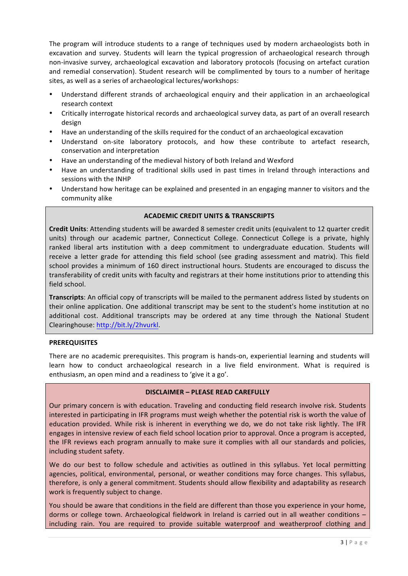The program will introduce students to a range of techniques used by modern archaeologists both in excavation and survey. Students will learn the typical progression of archaeological research through non-invasive survey, archaeological excavation and laboratory protocols (focusing on artefact curation and remedial conservation). Student research will be complimented by tours to a number of heritage sites, as well as a series of archaeological lectures/workshops:

- Understand different strands of archaeological enquiry and their application in an archaeological research context
- Critically interrogate historical records and archaeological survey data, as part of an overall research design
- Have an understanding of the skills required for the conduct of an archaeological excavation
- Understand on-site laboratory protocols, and how these contribute to artefact research, conservation and interpretation
- Have an understanding of the medieval history of both Ireland and Wexford
- Have an understanding of traditional skills used in past times in Ireland through interactions and sessions with the INHP
- Understand how heritage can be explained and presented in an engaging manner to visitors and the community alike

# **ACADEMIC CREDIT UNITS & TRANSCRIPTS**

**Credit Units:** Attending students will be awarded 8 semester credit units (equivalent to 12 quarter credit units) through our academic partner, Connecticut College. Connecticut College is a private, highly ranked liberal arts institution with a deep commitment to undergraduate education. Students will receive a letter grade for attending this field school (see grading assessment and matrix). This field school provides a minimum of 160 direct instructional hours. Students are encouraged to discuss the transferability of credit units with faculty and registrars at their home institutions prior to attending this field school.

**Transcripts**: An official copy of transcripts will be mailed to the permanent address listed by students on their online application. One additional transcript may be sent to the student's home institution at no additional cost. Additional transcripts may be ordered at any time through the National Student Clearinghouse: http://bit.ly/2hvurkl.

# **PREREQUISITES**

There are no academic prerequisites. This program is hands-on, experiential learning and students will learn how to conduct archaeological research in a live field environment. What is required is enthusiasm, an open mind and a readiness to 'give it a go'.

# **DISCLAIMER – PLEASE READ CAREFULLY**

Our primary concern is with education. Traveling and conducting field research involve risk. Students interested in participating in IFR programs must weigh whether the potential risk is worth the value of education provided. While risk is inherent in everything we do, we do not take risk lightly. The IFR engages in intensive review of each field school location prior to approval. Once a program is accepted, the IFR reviews each program annually to make sure it complies with all our standards and policies, including student safety.

We do our best to follow schedule and activities as outlined in this syllabus. Yet local permitting agencies, political, environmental, personal, or weather conditions may force changes. This syllabus, therefore, is only a general commitment. Students should allow flexibility and adaptability as research work is frequently subject to change.

You should be aware that conditions in the field are different than those you experience in your home, dorms or college town. Archaeological fieldwork in Ireland is carried out in all weather conditions – including rain. You are required to provide suitable waterproof and weatherproof clothing and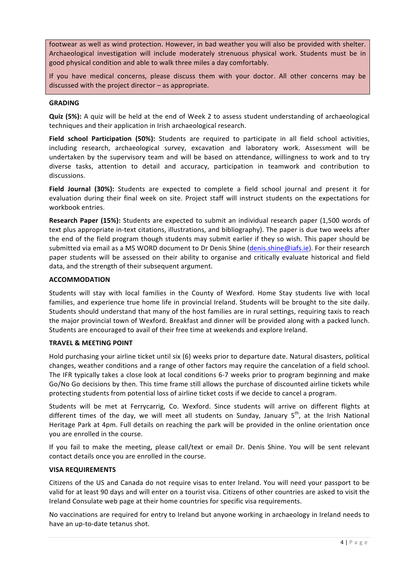footwear as well as wind protection. However, in bad weather you will also be provided with shelter. Archaeological investigation will include moderately strenuous physical work. Students must be in good physical condition and able to walk three miles a day comfortably.

If you have medical concerns, please discuss them with your doctor. All other concerns may be discussed with the project director  $-$  as appropriate.

#### **GRADING**

**Quiz (5%):** A quiz will be held at the end of Week 2 to assess student understanding of archaeological techniques and their application in Irish archaeological research.

Field school Participation (50%): Students are required to participate in all field school activities, including research, archaeological survey, excavation and laboratory work. Assessment will be undertaken by the supervisory team and will be based on attendance, willingness to work and to try diverse tasks, attention to detail and accuracy, participation in teamwork and contribution to discussions.

**Field Journal (30%):** Students are expected to complete a field school journal and present it for evaluation during their final week on site. Project staff will instruct students on the expectations for workbook entries.

**Research Paper (15%):** Students are expected to submit an individual research paper (1,500 words of text plus appropriate in-text citations, illustrations, and bibliography). The paper is due two weeks after the end of the field program though students may submit earlier if they so wish. This paper should be submitted via email as a MS WORD document to Dr Denis Shine (denis.shine@iafs.ie). For their research paper students will be assessed on their ability to organise and critically evaluate historical and field data, and the strength of their subsequent argument.

#### **ACCOMMODATION**

Students will stay with local families in the County of Wexford. Home Stay students live with local families, and experience true home life in provincial Ireland. Students will be brought to the site daily. Students should understand that many of the host families are in rural settings, requiring taxis to reach the major provincial town of Wexford. Breakfast and dinner will be provided along with a packed lunch. Students are encouraged to avail of their free time at weekends and explore Ireland.

#### **TRAVEL & MEETING POINT**

Hold purchasing your airline ticket until six (6) weeks prior to departure date. Natural disasters, political changes, weather conditions and a range of other factors may require the cancelation of a field school. The IFR typically takes a close look at local conditions 6-7 weeks prior to program beginning and make Go/No Go decisions by then. This time frame still allows the purchase of discounted airline tickets while protecting students from potential loss of airline ticket costs if we decide to cancel a program.

Students will be met at Ferrycarrig, Co. Wexford. Since students will arrive on different flights at different times of the day, we will meet all students on Sunday, January  $5<sup>th</sup>$ , at the Irish National Heritage Park at 4pm. Full details on reaching the park will be provided in the online orientation once you are enrolled in the course.

If you fail to make the meeting, please call/text or email Dr. Denis Shine. You will be sent relevant contact details once you are enrolled in the course.

# **VISA REQUIREMENTS**

Citizens of the US and Canada do not require visas to enter Ireland. You will need your passport to be valid for at least 90 days and will enter on a tourist visa. Citizens of other countries are asked to visit the Ireland Consulate web page at their home countries for specific visa requirements.

No vaccinations are required for entry to Ireland but anyone working in archaeology in Ireland needs to have an up-to-date tetanus shot.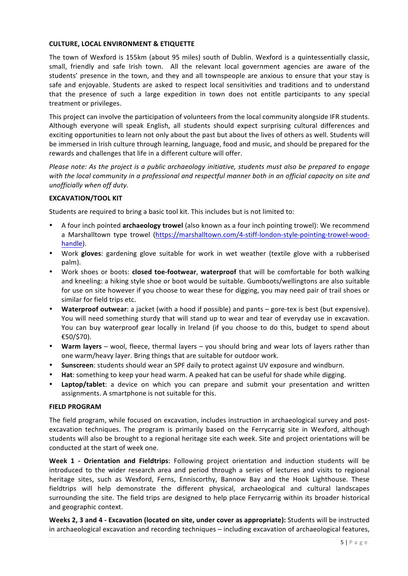# **CULTURE, LOCAL ENVIRONMENT & ETIQUETTE**

The town of Wexford is 155km (about 95 miles) south of Dublin. Wexford is a quintessentially classic, small, friendly and safe Irish town. All the relevant local government agencies are aware of the students' presence in the town, and they and all townspeople are anxious to ensure that your stay is safe and enjoyable. Students are asked to respect local sensitivities and traditions and to understand that the presence of such a large expedition in town does not entitle participants to any special treatment or privileges.

This project can involve the participation of volunteers from the local community alongside IFR students. Although everyone will speak English, all students should expect surprising cultural differences and exciting opportunities to learn not only about the past but about the lives of others as well. Students will be immersed in Irish culture through learning, language, food and music, and should be prepared for the rewards and challenges that life in a different culture will offer.

*Please note:* As the project is a public archaeology initiative, students must also be prepared to engage with the local community in a professional and respectful manner both in an official capacity on site and *unofficially* when off duty.

# **EXCAVATION/TOOL KIT**

Students are required to bring a basic tool kit. This includes but is not limited to:

- A four inch pointed **archaeology trowel** (also known as a four inch pointing trowel): We recommend a Marshalltown type trowel (https://marshalltown.com/4-stiff-london-style-pointing-trowel-woodhandle).
- Work gloves: gardening glove suitable for work in wet weather (textile glove with a rubberised palm).
- Work shoes or boots: **closed toe-footwear, waterproof** that will be comfortable for both walking and kneeling: a hiking style shoe or boot would be suitable. Gumboots/wellingtons are also suitable for use on site however if you choose to wear these for digging, you may need pair of trail shoes or similar for field trips etc.
- Waterproof outwear: a jacket (with a hood if possible) and pants gore-tex is best (but expensive). You will need something sturdy that will stand up to wear and tear of everyday use in excavation. You can buy waterproof gear locally in Ireland (if you choose to do this, budget to spend about €50/\$70).
- Warm layers wool, fleece, thermal layers you should bring and wear lots of layers rather than one warm/heavy layer. Bring things that are suitable for outdoor work.
- **Sunscreen**: students should wear an SPF daily to protect against UV exposure and windburn.
- **Hat:** something to keep your head warm. A peaked hat can be useful for shade while digging.
- Laptop/tablet: a device on which you can prepare and submit your presentation and written assignments. A smartphone is not suitable for this.

# **FIELD PROGRAM**

The field program, while focused on excavation, includes instruction in archaeological survey and postexcavation techniques. The program is primarily based on the Ferrycarrig site in Wexford, although students will also be brought to a regional heritage site each week. Site and project orientations will be conducted at the start of week one.

**Week 1 - Orientation and Fieldtrips:** Following project orientation and induction students will be introduced to the wider research area and period through a series of lectures and visits to regional heritage sites, such as Wexford, Ferns, Enniscorthy, Bannow Bay and the Hook Lighthouse. These fieldtrips will help demonstrate the different physical, archaeological and cultural landscapes surrounding the site. The field trips are designed to help place Ferrycarrig within its broader historical and geographic context.

**Weeks 2, 3 and 4 - Excavation (located on site, under cover as appropriate):** Students will be instructed in archaeological excavation and recording techniques – including excavation of archaeological features,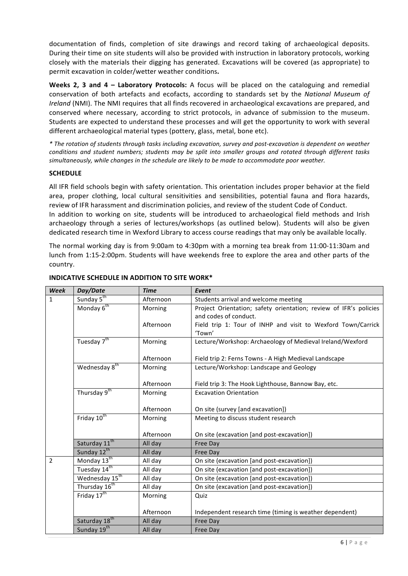documentation of finds, completion of site drawings and record taking of archaeological deposits. During their time on site students will also be provided with instruction in laboratory protocols, working closely with the materials their digging has generated. Excavations will be covered (as appropriate) to permit excavation in colder/wetter weather conditions.

**Weeks 2, 3 and 4 - Laboratory Protocols:** A focus will be placed on the cataloguing and remedial conservation of both artefacts and ecofacts, according to standards set by the National Museum of *Ireland* (NMI). The NMI requires that all finds recovered in archaeological excavations are prepared, and conserved where necessary, according to strict protocols, in advance of submission to the museum. Students are expected to understand these processes and will get the opportunity to work with several different archaeological material types (pottery, glass, metal, bone etc).

*\* The rotation of students through tasks including excavation, survey and post-excavation is dependent on weather conditions and student numbers; students may be split into smaller groups and rotated through different tasks* simultaneously, while changes in the schedule are likely to be made to accommodate poor weather.

# **SCHEDULE**

All IFR field schools begin with safety orientation. This orientation includes proper behavior at the field area, proper clothing, local cultural sensitivities and sensibilities, potential fauna and flora hazards, review of IFR harassment and discrimination policies, and review of the student Code of Conduct. In addition to working on site, students will be introduced to archaeological field methods and Irish archaeology through a series of lectures/workshops (as outlined below). Students will also be given dedicated research time in Wexford Library to access course readings that may only be available locally.

The normal working day is from 9:00am to 4:30pm with a morning tea break from  $11:00-11:30$ am and lunch from 1:15-2:00pm. Students will have weekends free to explore the area and other parts of the country.

| <b>Week</b>    | Day/Date                   | <b>Time</b> | Event                                                             |
|----------------|----------------------------|-------------|-------------------------------------------------------------------|
| $\mathbf{1}$   | Sunday 5 <sup>th</sup>     | Afternoon   | Students arrival and welcome meeting                              |
|                | Monday 6 <sup>th</sup>     | Morning     | Project Orientation; safety orientation; review of IFR's policies |
|                |                            |             | and codes of conduct.                                             |
|                |                            | Afternoon   | Field trip 1: Tour of INHP and visit to Wexford Town/Carrick      |
|                |                            |             | 'Town'                                                            |
|                | Tuesday 7 <sup>th</sup>    | Morning     | Lecture/Workshop: Archaeology of Medieval Ireland/Wexford         |
|                |                            |             |                                                                   |
|                |                            | Afternoon   | Field trip 2: Ferns Towns - A High Medieval Landscape             |
|                | Wednesday 8 <sup>th</sup>  | Morning     | Lecture/Workshop: Landscape and Geology                           |
|                |                            |             |                                                                   |
|                |                            | Afternoon   | Field trip 3: The Hook Lighthouse, Bannow Bay, etc.               |
|                | Thursday 9 <sup>th</sup>   | Morning     | <b>Excavation Orientation</b>                                     |
|                |                            |             |                                                                   |
|                |                            | Afternoon   | On site (survey [and excavation])                                 |
|                | Friday 10 <sup>th</sup>    | Morning     | Meeting to discuss student research                               |
|                |                            |             |                                                                   |
|                |                            | Afternoon   | On site (excavation [and post-excavation])                        |
|                | Saturday 11 <sup>th</sup>  | All day     | Free Day                                                          |
|                | Sunday 12 <sup>th</sup>    | All day     | <b>Free Day</b>                                                   |
| $\overline{2}$ | Monday 13 <sup>th</sup>    | All day     | On site (excavation [and post-excavation])                        |
|                | Tuesday 14th               | All day     | On site (excavation [and post-excavation])                        |
|                | Wednesday 15 <sup>th</sup> | All day     | On site (excavation [and post-excavation])                        |
|                | Thursday 16 <sup>th</sup>  | All day     | On site (excavation [and post-excavation])                        |
|                | Friday 17 <sup>th</sup>    | Morning     | Quiz                                                              |
|                |                            |             |                                                                   |
|                |                            | Afternoon   | Independent research time (timing is weather dependent)           |
|                | Saturday 18 <sup>th</sup>  | All day     | Free Day                                                          |
|                | Sunday 19th                | All day     | Free Day                                                          |

# **INDICATIVE SCHEDULE IN ADDITION TO SITE WORK\***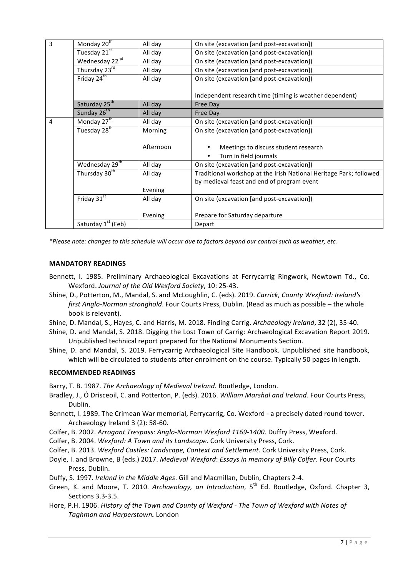| 3 | Monday 20 <sup>th</sup>        | All day   | On site (excavation [and post-excavation])                         |
|---|--------------------------------|-----------|--------------------------------------------------------------------|
|   | Tuesday 21 <sup>st</sup>       | All day   | On site (excavation [and post-excavation])                         |
|   | Wednesday 22nd                 | All day   | On site (excavation [and post-excavation])                         |
|   | Thursday 23rd                  | All day   | On site (excavation [and post-excavation])                         |
|   | Friday $24^{\text{th}}$        | All day   | On site (excavation [and post-excavation])                         |
|   |                                |           |                                                                    |
|   |                                |           | Independent research time (timing is weather dependent)            |
|   | Saturday 25 <sup>th</sup>      | All day   | Free Day                                                           |
|   | Sunday 26 <sup>th</sup>        | All day   | Free Day                                                           |
| 4 | Monday 27 <sup>th</sup>        | All day   | On site (excavation [and post-excavation])                         |
|   | Tuesday 28 <sup>th</sup>       | Morning   | On site (excavation [and post-excavation])                         |
|   |                                |           |                                                                    |
|   |                                | Afternoon | Meetings to discuss student research                               |
|   |                                |           | Turn in field journals<br>$\bullet$                                |
|   | Wednesday 29 <sup>th</sup>     | All day   | On site (excavation [and post-excavation])                         |
|   | Thursday 30 <sup>th</sup>      | All day   | Traditional workshop at the Irish National Heritage Park; followed |
|   |                                |           | by medieval feast and end of program event                         |
|   |                                | Evening   |                                                                    |
|   | Friday $31st$                  | All day   | On site (excavation [and post-excavation])                         |
|   |                                |           |                                                                    |
|   |                                | Evening   | Prepare for Saturday departure                                     |
|   | Saturday 1 <sup>st</sup> (Feb) |           | Depart                                                             |
|   |                                |           |                                                                    |

*\*Please note: changes to this schedule will occur due to factors beyond our control such as weather, etc.*

# **MANDATORY READINGS**

- Bennett, I. 1985. Preliminary Archaeological Excavations at Ferrycarrig Ringwork, Newtown Td., Co. Wexford. *Journal of the Old Wexford Society*, 10: 25-43.
- Shine, D., Potterton, M., Mandal, S. and McLoughlin, C. (eds). 2019. *Carrick, County Wexford: Ireland's first Anglo-Norman stronghold*. Four Courts Press, Dublin. (Read as much as possible – the whole book is relevant).
- Shine, D. Mandal, S., Hayes, C. and Harris, M. 2018. Finding Carrig. Archaeology Ireland, 32 (2), 35-40.
- Shine, D. and Mandal, S. 2018. Digging the Lost Town of Carrig: Archaeological Excavation Report 2019. Unpublished technical report prepared for the National Monuments Section.
- Shine, D. and Mandal, S. 2019. Ferrycarrig Archaeological Site Handbook. Unpublished site handbook, which will be circulated to students after enrolment on the course. Typically 50 pages in length.

# **RECOMMENDED READINGS**

Barry, T. B. 1987. *The Archaeology of Medieval Ireland.* Routledge, London.

- Bradley, J., Ó Drisceoil, C. and Potterton, P. (eds). 2016. *William Marshal and Ireland*. Four Courts Press, Dublin.
- Bennett, I. 1989. The Crimean War memorial, Ferrycarrig, Co. Wexford a precisely dated round tower. Archaeology Ireland 3 (2): 58-60.
- Colfer, B. 2002. Arrogant Trespass: Anglo-Norman Wexford 1169-1400. Duffry Press, Wexford.
- Colfer, B. 2004. *Wexford: A Town and its Landscape*. Cork University Press, Cork.
- Colfer, B. 2013. Wexford Castles: Landscape, Context and Settlement. Cork University Press, Cork.
- Doyle, I. and Browne, B (eds.) 2017. *Medieval Wexford: Essays in memory of Billy Colfer.* Four Courts Press, Dublin.
- Duffy, S. 1997. *Ireland in the Middle Ages*. Gill and Macmillan, Dublin, Chapters 2-4.
- Green, K. and Moore, T. 2010. *Archaeology, an Introduction*, 5<sup>th</sup> Ed. Routledge, Oxford. Chapter 3, Sections 3.3-3.5.
- Hore, P.H. 1906. History of the Town and County of Wexford The Town of Wexford with Notes of *Taghmon and Harperstown.* London